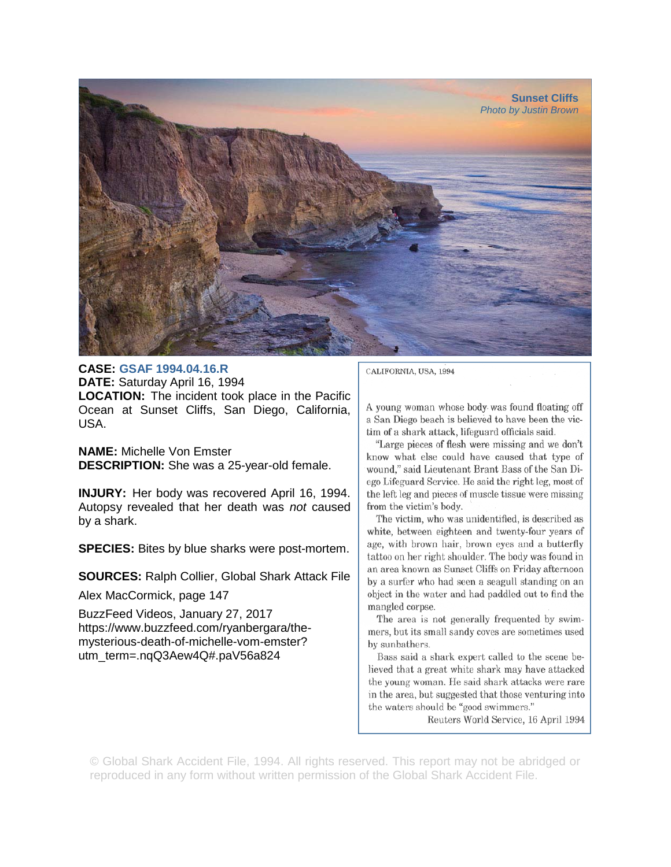

## **CASE: GSAF 1994.04.16.R**

**DATE:** Saturday April 16, 1994 **LOCATION:** The incident took place in the Pacific Ocean at Sunset Cliffs, San Diego, California, USA.

**NAME:** Michelle Von Emster **DESCRIPTION:** She was a 25-year-old female.

**INJURY:** Her body was recovered April 16, 1994. Autopsy revealed that her death was *not* caused by a shark.

**SPECIES:** Bites by blue sharks were post-mortem.

**SOURCES:** Ralph Collier, Global Shark Attack File

Alex MacCormick, page 147

BuzzFeed Videos, January 27, 2017 https://www.buzzfeed.com/ryanbergara/themysterious-death-of-michelle-vom-emster? utm\_term=.nqQ3Aew4Q#.paV56a824

CALIFORNIA, USA, 1994

A young woman whose body was found floating off a San Diego beach is believed to have been the victim of a shark attack, lifeguard officials said.

"Large pieces of flesh were missing and we don't know what else could have caused that type of wound," said Lieutenant Brant Bass of the San Diego Lifeguard Service. He said the right leg, most of the left leg and pieces of muscle tissue were missing from the victim's body.

The victim, who was unidentified, is described as white, between eighteen and twenty-four years of age, with brown hair, brown eyes and a butterfly tattoo on her right shoulder. The body was found in an area known as Sunset Cliffs on Friday afternoon by a surfer who had seen a seagull standing on an object in the water and had paddled out to find the mangled corpse.

The area is not generally frequented by swimmers, but its small sandy coves are sometimes used by sunbathers.

Bass said a shark expert called to the scene believed that a great white shark may have attacked the young woman. He said shark attacks were rare in the area, but suggested that those venturing into the waters should be "good swimmers."

Reuters World Service, 16 April 1994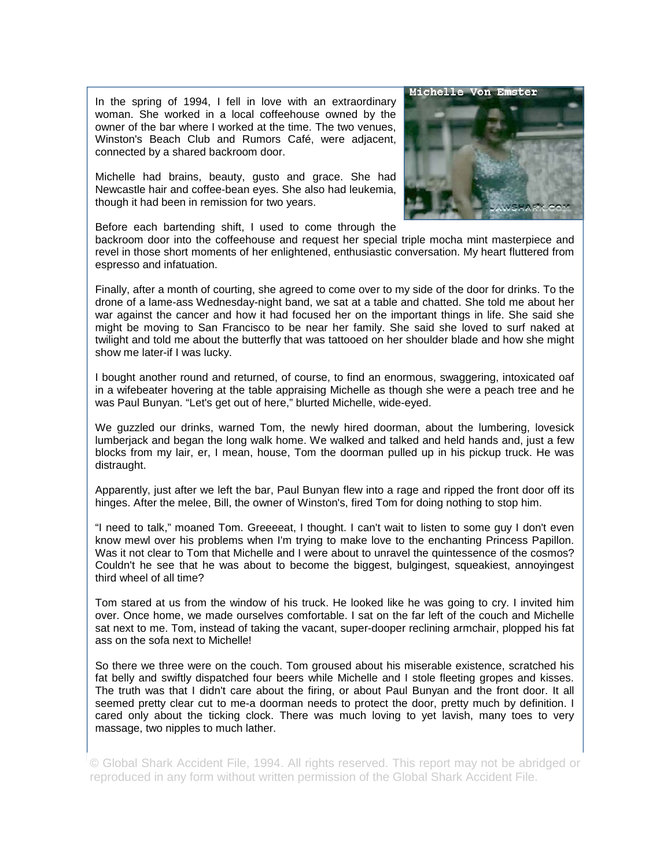In the spring of 1994, I fell in love with an extraordinary woman. She worked in a local coffeehouse owned by the owner of the bar where I worked at the time. The two venues, Winston's Beach Club and Rumors Café, were adjacent, connected by a shared backroom door.

Michelle had brains, beauty, gusto and grace. She had Newcastle hair and coffee-bean eyes. She also had leukemia, though it had been in remission for two years.



Before each bartending shift, I used to come through the

backroom door into the coffeehouse and request her special triple mocha mint masterpiece and revel in those short moments of her enlightened, enthusiastic conversation. My heart fluttered from espresso and infatuation.

Finally, after a month of courting, she agreed to come over to my side of the door for drinks. To the drone of a lame-ass Wednesday-night band, we sat at a table and chatted. She told me about her war against the cancer and how it had focused her on the important things in life. She said she might be moving to San Francisco to be near her family. She said she loved to surf naked at twilight and told me about the butterfly that was tattooed on her shoulder blade and how she might show me later-if I was lucky.

I bought another round and returned, of course, to find an enormous, swaggering, intoxicated oaf in a wifebeater hovering at the table appraising Michelle as though she were a peach tree and he was Paul Bunyan. "Let's get out of here," blurted Michelle, wide-eyed.

We guzzled our drinks, warned Tom, the newly hired doorman, about the lumbering, lovesick lumberjack and began the long walk home. We walked and talked and held hands and, just a few blocks from my lair, er, I mean, house, Tom the doorman pulled up in his pickup truck. He was distraught.

Apparently, just after we left the bar, Paul Bunyan flew into a rage and ripped the front door off its hinges. After the melee, Bill, the owner of Winston's, fired Tom for doing nothing to stop him.

"I need to talk," moaned Tom. Greeeeat, I thought. I can't wait to listen to some guy I don't even know mewl over his problems when I'm trying to make love to the enchanting Princess Papillon. Was it not clear to Tom that Michelle and I were about to unravel the quintessence of the cosmos? Couldn't he see that he was about to become the biggest, bulgingest, squeakiest, annoyingest third wheel of all time?

Tom stared at us from the window of his truck. He looked like he was going to cry. I invited him over. Once home, we made ourselves comfortable. I sat on the far left of the couch and Michelle sat next to me. Tom, instead of taking the vacant, super-dooper reclining armchair, plopped his fat ass on the sofa next to Michelle!

So there we three were on the couch. Tom groused about his miserable existence, scratched his fat belly and swiftly dispatched four beers while Michelle and I stole fleeting gropes and kisses. The truth was that I didn't care about the firing, or about Paul Bunyan and the front door. It all seemed pretty clear cut to me-a doorman needs to protect the door, pretty much by definition. I cared only about the ticking clock. There was much loving to yet lavish, many toes to very massage, two nipples to much lather.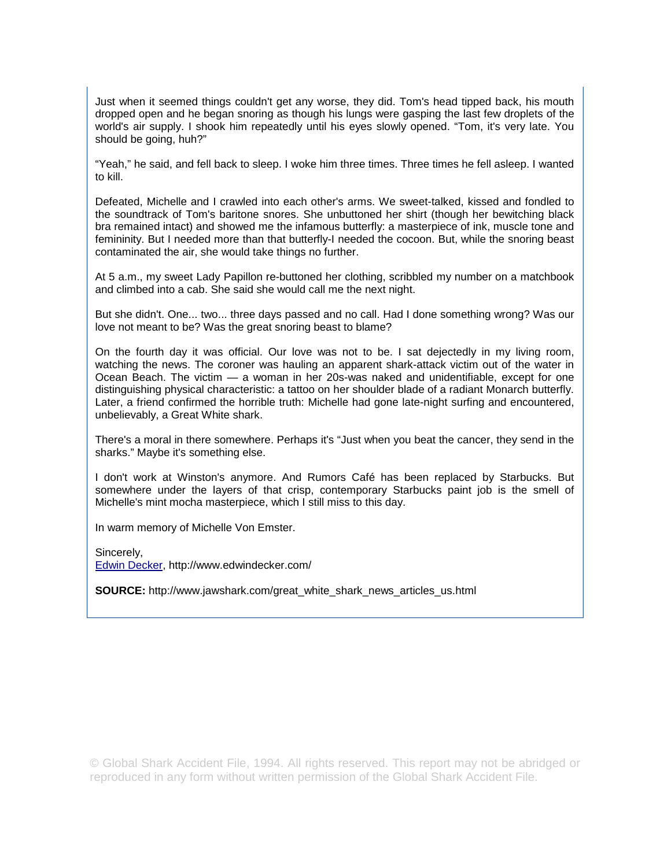Just when it seemed things couldn't get any worse, they did. Tom's head tipped back, his mouth dropped open and he began snoring as though his lungs were gasping the last few droplets of the world's air supply. I shook him repeatedly until his eyes slowly opened. "Tom, it's very late. You should be going, huh?"

"Yeah," he said, and fell back to sleep. I woke him three times. Three times he fell asleep. I wanted to kill.

Defeated, Michelle and I crawled into each other's arms. We sweet-talked, kissed and fondled to the soundtrack of Tom's baritone snores. She unbuttoned her shirt (though her bewitching black bra remained intact) and showed me the infamous butterfly: a masterpiece of ink, muscle tone and femininity. But I needed more than that butterfly-I needed the cocoon. But, while the snoring beast contaminated the air, she would take things no further.

At 5 a.m., my sweet Lady Papillon re-buttoned her clothing, scribbled my number on a matchbook and climbed into a cab. She said she would call me the next night.

But she didn't. One... two... three days passed and no call. Had I done something wrong? Was our love not meant to be? Was the great snoring beast to blame?

On the fourth day it was official. Our love was not to be. I sat dejectedly in my living room, watching the news. The coroner was hauling an apparent shark-attack victim out of the water in Ocean Beach. The victim — a woman in her 20s-was naked and unidentifiable, except for one distinguishing physical characteristic: a tattoo on her shoulder blade of a radiant Monarch butterfly. Later, a friend confirmed the horrible truth: Michelle had gone late-night surfing and encountered, unbelievably, a Great White shark.

There's a moral in there somewhere. Perhaps it's "Just when you beat the cancer, they send in the sharks." Maybe it's something else.

I don't work at Winston's anymore. And Rumors Café has been replaced by Starbucks. But somewhere under the layers of that crisp, contemporary Starbucks paint job is the smell of Michelle's mint mocha masterpiece, which I still miss to this day.

In warm memory of Michelle Von Emster.

Sincerely, Edwin Decker, http://www.edwindecker.com/

**SOURCE:** http://www.jawshark.com/great\_white\_shark\_news\_articles\_us.html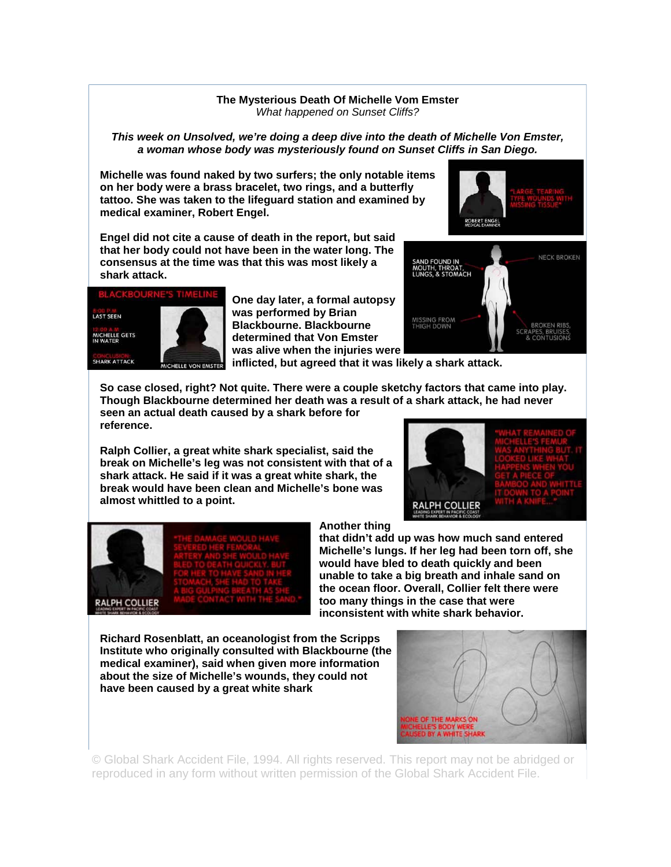## **The Mysterious Death Of Michelle Vom Emster**  *What happened on Sunset Cliffs?*

## *This week on Unsolved, we're doing a deep dive into the death of Michelle Von Emster, a woman whose body was mysteriously found on Sunset Cliffs in San Diego.*

**Michelle was found naked by two surfers; the only notable items on her body were a brass bracelet, two rings, and a butterfly tattoo. She was taken to the lifeguard station and examined by medical examiner, Robert Engel.** 





**BROKEN RIBS** ES, BRUISES



**One day later, a formal autopsy was performed by Brian Blackbourne. Blackbourne determined that Von Emster was alive when the injuries were** 

**inflicted, but agreed that it was likely a shark attack.** 

**So case closed, right? Not quite. There were a couple sketchy factors that came into play. Though Blackbourne determined her death was a result of a shark attack, he had never seen an actual death caused by a shark before for reference.** 

**Ralph Collier, a great white shark specialist, said the break on Michelle's leg was not consistent with that of a shark attack. He said if it was a great white shark, the break would have been clean and Michelle's bone was almost whittled to a point.** 





## **Another thing**

**that didn't add up was how much sand entered Michelle's lungs. If her leg had been torn off, she would have bled to death quickly and been unable to take a big breath and inhale sand on the ocean floor. Overall, Collier felt there were too many things in the case that were inconsistent with white shark behavior.** 

MISSING FROM<br>THIGH DOWN

**Richard Rosenblatt, an oceanologist from the Scripps Institute who originally consulted with Blackbourne (the medical examiner), said when given more information about the size of Michelle's wounds, they could not have been caused by a great white shark** 

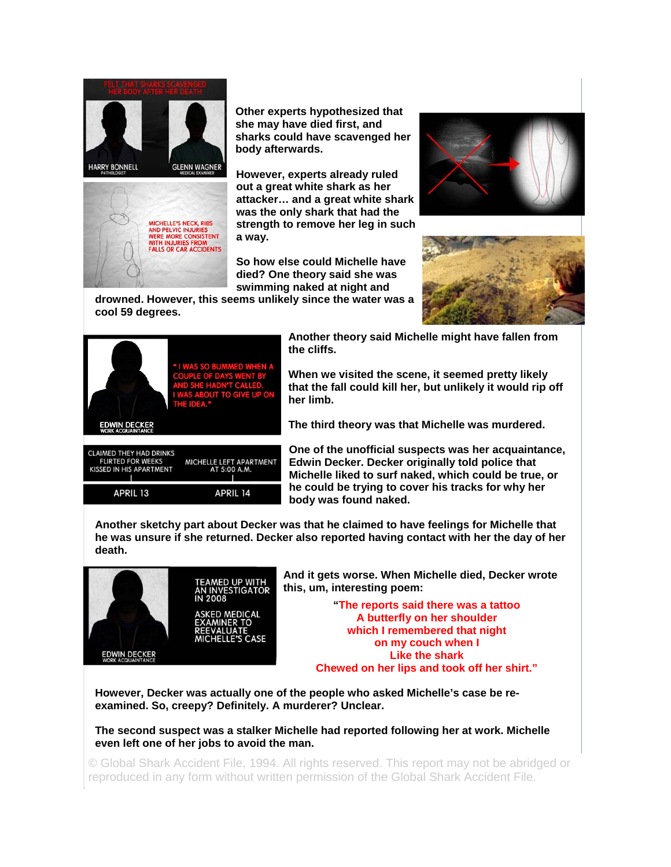



**Other experts hypothesized that she may have died first, and sharks could have scavenged her body afterwards.** 

**However, experts already ruled out a great white shark as her attacker… and a great white shark was the only shark that had the strength to remove her leg in such a way.** 

**So how else could Michelle have died? One theory said she was swimming naked at night and** 





**drowned. However, this seems unlikely since the water was a cool 59 degrees.** 

MICHELLE LEFT APARTMENT<br>AT 5:00 A.M.

**APRIL 14** 



**CLAIMED THEY HAD DRINKS FLIRTED FOR WEEKS** 

KISSED IN HIS APARTMENT

APRIL 13

**Another theory said Michelle might have fallen from the cliffs.** 

**When we visited the scene, it seemed pretty likely that the fall could kill her, but unlikely it would rip off her limb.** 

**The third theory was that Michelle was murdered.** 

**One of the unofficial suspects was her acquaintance, Edwin Decker. Decker originally told police that Michelle liked to surf naked, which could be true, or he could be trying to cover his tracks for why her body was found naked.**

**Another sketchy part about Decker was that he claimed to have feelings for Michelle that he was unsure if she returned. Decker also reported having contact with her the day of her death.** 



**And it gets worse. When Michelle died, Decker wrote this, um, interesting poem:** 

> **"The reports said there was a tattoo A butterfly on her shoulder which I remembered that night on my couch when I Like the shark Chewed on her lips and took off her shirt."**

**However, Decker was actually one of the people who asked Michelle's case be reexamined. So, creepy? Definitely. A murderer? Unclear.** 

**The second suspect was a stalker Michelle had reported following her at work. Michelle even left one of her jobs to avoid the man.**